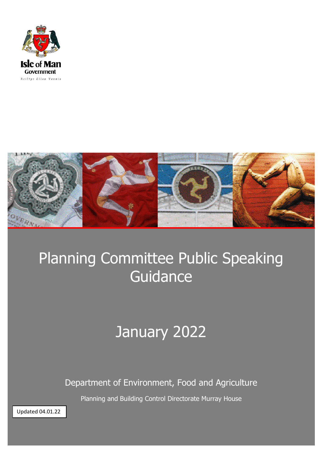



# Planning Committee Public Speaking **Guidance**

## January 2022

Department of Environment, Food and Agriculture

Planning and Building Control Directorate Murray House

Updated 04.01.22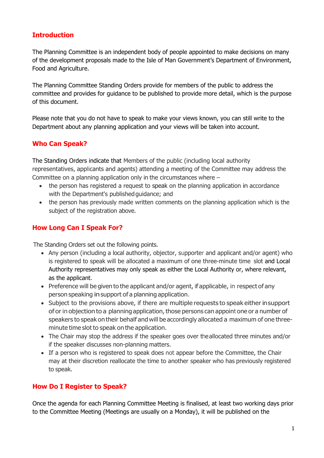### **Introduction**

The Planning Committee is an independent body of people appointed to make decisions on many of the development proposals made to the Isle of Man Government's Department of Environment, Food and Agriculture.

The Planning Committee Standing Orders provide for members of the public to address the committee and provides for guidance to be published to provide more detail, which is the purpose of this document.

Please note that you do not have to speak to make your views known, you can still write to the Department about any planning application and your views will be taken into account.

## **Who Can Speak?**

The Standing Orders indicate that Members of the public (including local authority representatives, applicants and agents) attending a meeting of the Committee may address the Committee on a planning application only in the circumstances where –

- the person has registered a request to speak on the planning application in accordance with the Department's published guidance; and
- the person has previously made written comments on the planning application which is the subject of the registration above.

## **How Long Can I Speak For?**

The Standing Orders set out the following points.

- Any person (including a local authority, objector, supporter and applicant and/or agent) who is registered to speak will be allocated a maximum of one three-minute time slot and Local Authority representatives may only speak as either the Local Authority or, where relevant, as the applicant.
- Preference will be given to the applicant and/or agent, if applicable, in respect of any person speaking insupport of a planning application.
- Subject to the provisions above, if there are multiple requests to speak either in support of orin objection to a planningapplication,those persons can appoint one or a number of speakers to speak ontheir behalf andwill be accordingly allocated a maximum of one threeminute time slot to speak on the application.
- The Chair may stop the address if the speaker goes over theallocated three minutes and/or if the speaker discusses non-planning matters.
- If a person who is registered to speak does not appear before the Committee, the Chair may at their discretion reallocate the time to another speaker who has previously registered to speak.

#### **How Do I Register to Speak?**

Once the agenda for each Planning Committee Meeting is finalised, at least two working days prior to the Committee Meeting (Meetings are usually on a Monday), it will be published on the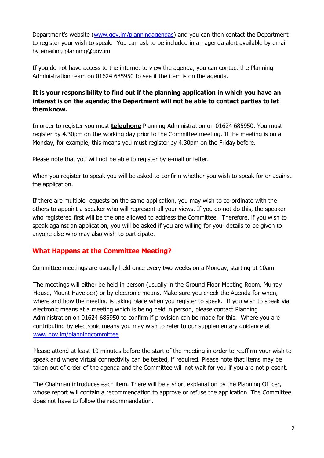Department's website [\(www.gov.im/planningagendas\)](http://www.gov.im/planningagendas) and you can then contact the Department to register your wish to speak. You can ask to be included in an agenda alert available by email by emailing planning@gov.im

If you do not have access to the internet to view the agenda, you can contact the Planning Administration team on 01624 685950 to see if the item is on the agenda.

### **It is your responsibility to find out if the planning application in which you have an interest is on the agenda; the Department will not be able to contact parties to let themknow.**

In order to register you must **telephone** Planning Administration on 01624 685950. You must register by 4.30pm on the working day prior to the Committee meeting. If the meeting is on a Monday, for example, this means you must register by 4.30pm on the Friday before.

Please note that you will not be able to register by e-mail or letter.

When you register to speak you will be asked to confirm whether you wish to speak for or against the application.

If there are multiple requests on the same application, you may wish to co-ordinate with the others to appoint a speaker who will represent all your views. If you do not do this, the speaker who registered first will be the one allowed to address the Committee. Therefore, if you wish to speak against an application, you will be asked if you are willing for your details to be given to anyone else who may also wish to participate.

## **What Happens at the Committee Meeting?**

Committee meetings are usually held once every two weeks on a Monday, starting at 10am.

The meetings will either be held in person (usually in the Ground Floor Meeting Room, Murray House, Mount Havelock) or by electronic means. Make sure you check the Agenda for when, where and how the meeting is taking place when you register to speak. If you wish to speak via electronic means at a meeting which is being held in person, please contact Planning Administration on 01624 685950 to confirm if provision can be made for this. Where you are contributing by electronic means you may wish to refer to our supplementary guidance at [www.gov.im/planningcommittee](http://www.gov.im/planningcommittee)

Please attend at least 10 minutes before the start of the meeting in order to reaffirm your wish to speak and where virtual connectivity can be tested, if required. Please note that items may be taken out of order of the agenda and the Committee will not wait for you if you are not present.

The Chairman introduces each item. There will be a short explanation by the Planning Officer, whose report will contain a recommendation to approve or refuse the application. The Committee does not have to follow the recommendation.